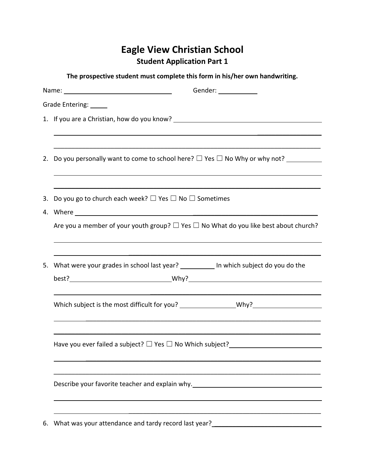# **Eagle View Christian School Student Application Part 1**

|    | Gender: _____________                                                                                                                                             |  |  |  |
|----|-------------------------------------------------------------------------------------------------------------------------------------------------------------------|--|--|--|
|    | Grade Entering: ______                                                                                                                                            |  |  |  |
|    |                                                                                                                                                                   |  |  |  |
| 2. | Do you personally want to come to school here? $\square$ Yes $\square$ No Why or why not?                                                                         |  |  |  |
| 3. | Do you go to church each week? $\Box$ Yes $\Box$ No $\Box$ Sometimes                                                                                              |  |  |  |
|    | Are you a member of your youth group? $\Box$ Yes $\Box$ No What do you like best about church?                                                                    |  |  |  |
| 5. | What were your grades in school last year? ___________ In which subject do you do the                                                                             |  |  |  |
|    |                                                                                                                                                                   |  |  |  |
|    | Have you ever failed a subject? $\Box$ Yes $\Box$ No Which subject?                                                                                               |  |  |  |
|    | Describe your favorite teacher and explain why.<br>Notice that the contract of the contract of the contract of the contract of the contract of the contract of th |  |  |  |
| 6. | What was your attendance and tardy record last year?                                                                                                              |  |  |  |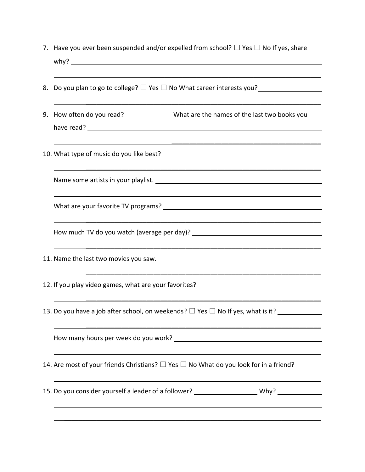|  | 7. Have you ever been suspended and/or expelled from school? $\Box$ Yes $\Box$ No If yes, share                                                                               |  |  |  |  |
|--|-------------------------------------------------------------------------------------------------------------------------------------------------------------------------------|--|--|--|--|
|  | 8. Do you plan to go to college? $\Box$ Yes $\Box$ No What career interests you?                                                                                              |  |  |  |  |
|  | 9. How often do you read? ______________What are the names of the last two books you                                                                                          |  |  |  |  |
|  |                                                                                                                                                                               |  |  |  |  |
|  |                                                                                                                                                                               |  |  |  |  |
|  | ,我们也不会有什么。""我们的人,我们也不会有什么?""我们的人,我们也不会有什么?""我们的人,我们也不会有什么?""我们的人,我们也不会有什么?""我们的人                                                                                              |  |  |  |  |
|  |                                                                                                                                                                               |  |  |  |  |
|  |                                                                                                                                                                               |  |  |  |  |
|  | ,我们也不会有什么。""我们的人,我们也不会有什么?""我们的人,我们也不会有什么?""我们的人,我们也不会有什么?""我们的人,我们也不会有什么?""我们的人<br>12. If you play video games, what are your favorites? __________________________          |  |  |  |  |
|  | ,我们也不会有什么。""我们的人,我们也不会有什么?""我们的人,我们也不会有什么?""我们的人,我们也不会有什么?""我们的人,我们也不会有什么?""我们的人<br>13. Do you have a job after school, on weekends? $\Box$ Yes $\Box$ No If yes, what is it? |  |  |  |  |
|  |                                                                                                                                                                               |  |  |  |  |
|  | 14. Are most of your friends Christians? $\Box$ Yes $\Box$ No What do you look for in a friend? ______                                                                        |  |  |  |  |
|  | 15. Do you consider yourself a leader of a follower? ______________________Why? ___________________                                                                           |  |  |  |  |
|  | ,我们也不会有什么。""我们的人,我们也不会有什么?""我们的人,我们也不会有什么?""我们的人,我们也不会有什么?""我们的人,我们也不会有什么?""我们的人                                                                                              |  |  |  |  |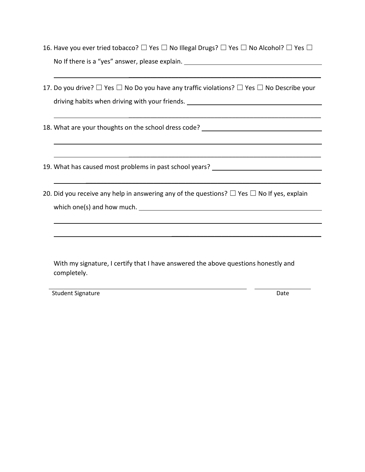16. Have you ever tried tobacco? □ Yes □ No Illegal Drugs? □ Yes □ No Alcohol? □ Yes □ No If there is a "yes" answer, please explain.

| 17. Do you drive? $\square$ Yes $\square$ No Do you have any traffic violations? $\square$ Yes $\square$ No Describe your |  |
|---------------------------------------------------------------------------------------------------------------------------|--|
| driving habits when driving with your friends.                                                                            |  |

 $\mathcal{L}_\text{max}$  , and the contract of the contract of the contract of the contract of the contract of the contract of the contract of the contract of the contract of the contract of the contract of the contract of the contr

 $\mathcal{L}_\text{max}$  , and the contract of the contract of the contract of the contract of the contract of the contract of the contract of the contract of the contract of the contract of the contract of the contract of the contr

 $\mathcal{L}_\text{max}$  , and the contract of the contract of the contract of the contract of the contract of the contract of the contract of the contract of the contract of the contract of the contract of the contract of the contr

 $\overline{\phantom{a}}$  , and the contract of the contract of the contract of the contract of the contract of the contract of the contract of the contract of the contract of the contract of the contract of the contract of the contrac

\_\_\_\_\_\_\_\_\_\_\_\_\_\_\_\_\_\_\_\_\_\_\_\_\_\_\_\_\_\_\_\_\_\_\_\_\_\_\_\_\_\_\_\_\_\_\_\_\_\_\_\_\_\_\_\_\_\_\_\_\_\_\_\_\_\_

18. What are your thoughts on the school dress code?

19. What has caused most problems in past school years?

20. Did you receive any help in answering any of the questions?  $\Box$  Yes  $\Box$  No If yes, explain which one(s) and how much. The same state of the state of the state of the state of the state of the state of the state of the state of the state of the state of the state of the state of the state of the state of the stat

With my signature, I certify that I have answered the above questions honestly and completely.

Student Signature Date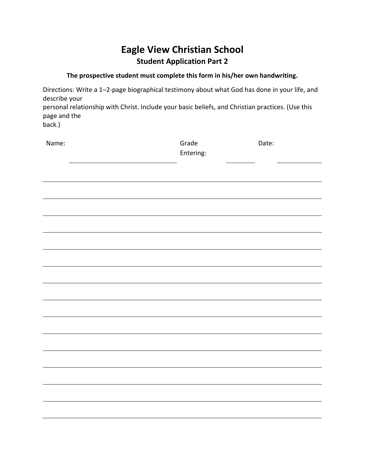# **Eagle View Christian School Student Application Part 2**

## **The prospective student must complete this form in his/her own handwriting.**

| Directions: Write a 1-2-page biographical testimony about what God has done in your life, and     |
|---------------------------------------------------------------------------------------------------|
| describe your                                                                                     |
| personal relationship with Christ. Include your basic beliefs, and Christian practices. (Use this |
| page and the                                                                                      |
| back.)                                                                                            |
|                                                                                                   |

| Name: | Grade<br>Entering: | Date: |
|-------|--------------------|-------|
|       |                    |       |
|       |                    |       |
|       |                    |       |
|       |                    |       |
|       |                    |       |
|       |                    |       |
|       |                    |       |
|       |                    |       |
|       |                    |       |
|       |                    |       |
|       |                    |       |
|       |                    |       |
|       |                    |       |
|       |                    |       |
|       |                    |       |
|       |                    |       |
|       |                    |       |
|       |                    |       |
|       |                    |       |
|       |                    |       |
|       |                    |       |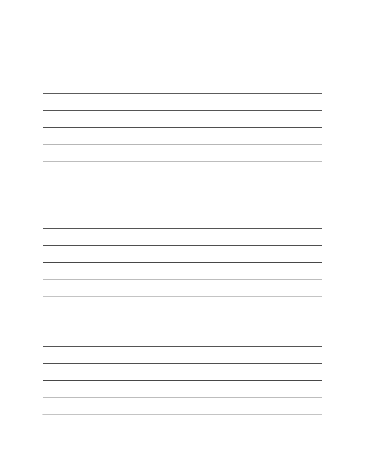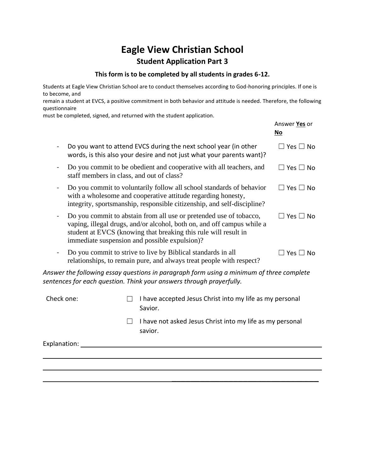## **Eagle View Christian School Student Application Part 3**

### **This form is to be completed by all students in grades 6-12.**

Students at Eagle View Christian School are to conduct themselves according to God-honoring principles. If one is to become, and

remain a student at EVCS, a positive commitment in both behavior and attitude is needed. Therefore, the following questionnaire

must be completed, signed, and returned with the student application.

|                                                                                                                                                                                                                                                                  |                                           |  |                                                                                                                                                                                                                 | Answer Yes or<br>No        |
|------------------------------------------------------------------------------------------------------------------------------------------------------------------------------------------------------------------------------------------------------------------|-------------------------------------------|--|-----------------------------------------------------------------------------------------------------------------------------------------------------------------------------------------------------------------|----------------------------|
|                                                                                                                                                                                                                                                                  |                                           |  | Do you want to attend EVCS during the next school year (in other<br>words, is this also your desire and not just what your parents want)?                                                                       | $\Box$ Yes $\Box$ No       |
|                                                                                                                                                                                                                                                                  | staff members in class, and out of class? |  | Do you commit to be obedient and cooperative with all teachers, and                                                                                                                                             | $\square$ Yes $\square$ No |
| $\overline{\phantom{a}}$                                                                                                                                                                                                                                         |                                           |  | Do you commit to voluntarily follow all school standards of behavior<br>with a wholesome and cooperative attitude regarding honesty,<br>integrity, sportsmanship, responsible citizenship, and self-discipline? | $\square$ Yes $\square$ No |
| Do you commit to abstain from all use or pretended use of tobacco,<br>vaping, illegal drugs, and/or alcohol, both on, and off campus while a<br>student at EVCS (knowing that breaking this rule will result in<br>immediate suspension and possible expulsion)? |                                           |  | $\square$ Yes $\square$ No                                                                                                                                                                                      |                            |
|                                                                                                                                                                                                                                                                  |                                           |  | Do you commit to strive to live by Biblical standards in all<br>relationships, to remain pure, and always treat people with respect?                                                                            | $\square$ Yes $\square$ No |
|                                                                                                                                                                                                                                                                  |                                           |  | Answer the following essay questions in paragraph form using a minimum of three complete<br>sentences for each question. Think your answers through prayerfully.                                                |                            |
| Check one:                                                                                                                                                                                                                                                       |                                           |  | I have accepted Jesus Christ into my life as my personal<br>Savior.                                                                                                                                             |                            |
|                                                                                                                                                                                                                                                                  |                                           |  | I have not asked Jesus Christ into my life as my personal<br>savior.                                                                                                                                            |                            |

 $\overline{\phantom{a}}$  , where  $\overline{\phantom{a}}$  , where  $\overline{\phantom{a}}$  ,  $\overline{\phantom{a}}$  ,  $\overline{\phantom{a}}$  ,  $\overline{\phantom{a}}$  ,  $\overline{\phantom{a}}$  ,  $\overline{\phantom{a}}$  ,  $\overline{\phantom{a}}$  ,  $\overline{\phantom{a}}$  ,  $\overline{\phantom{a}}$  ,  $\overline{\phantom{a}}$  ,  $\overline{\phantom{a}}$  ,  $\overline{\phantom{a}}$  ,  $\overline{\phantom{a}}$  ,

Explanation: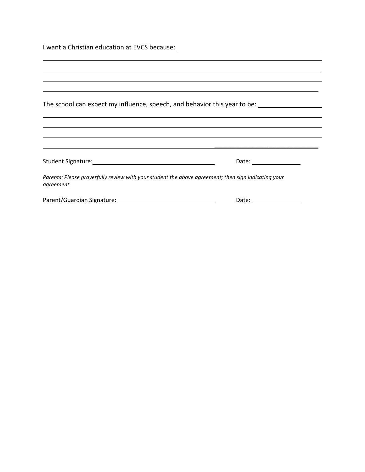| I want a Christian education at EVCS because: __________________________________                                     |                          |  |  |  |
|----------------------------------------------------------------------------------------------------------------------|--------------------------|--|--|--|
| ,我们也不会有什么。""我们的人,我们也不会有什么?""我们的人,我们也不会有什么?""我们的人,我们也不会有什么?""我们的人,我们也不会有什么?""我们的人                                     |                          |  |  |  |
|                                                                                                                      |                          |  |  |  |
|                                                                                                                      |                          |  |  |  |
|                                                                                                                      |                          |  |  |  |
|                                                                                                                      |                          |  |  |  |
|                                                                                                                      |                          |  |  |  |
|                                                                                                                      |                          |  |  |  |
| <u> 1989 - Andrea Santa Andrea Santa Andrea Santa Andrea Santa Andrea Santa Andrea Santa Andrea Santa Andrea San</u> |                          |  |  |  |
| ,我们也不会有什么。""我们的人,我们也不会有什么?""我们的人,我们也不会有什么?""我们的人,我们也不会有什么?""我们的人,我们也不会有什么?""我们的人                                     |                          |  |  |  |
|                                                                                                                      | Date: __________________ |  |  |  |
| Parents: Please prayerfully review with your student the above agreement; then sign indicating your<br>agreement.    |                          |  |  |  |
|                                                                                                                      |                          |  |  |  |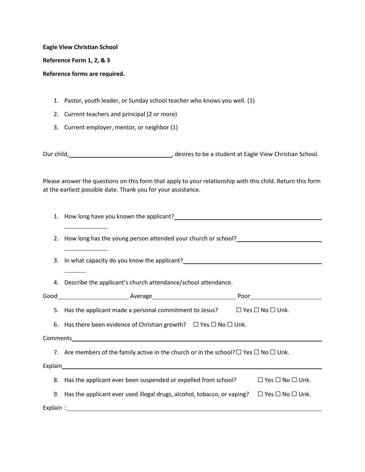### **Eagle View Christian School**

### **Reference Form 1, 2, & 3**

### **Reference forms are required.**

- 1. Pastor, youth leader, or Sunday school teacher who knows you well. (1)
- 2. Current teachers and principal (2 or more)
- 3. Current employer, mentor, or neighbor (1)

Our child, , desires to be a student at Eagle View Christian School.

Please answer the questions on this form that apply to your relationship with this child. Return this form at the earliest possible date. Thank you for your assistance.

|    | 1. How long have you known the applicant?<br>1. How long have you known the applicant?<br>1. How long have you known the applicant?                                                                                            |  |  |  |  |
|----|--------------------------------------------------------------------------------------------------------------------------------------------------------------------------------------------------------------------------------|--|--|--|--|
|    |                                                                                                                                                                                                                                |  |  |  |  |
| 2. | How long has the young person attended your church or school?                                                                                                                                                                  |  |  |  |  |
| 3. | In what capacity do you know the applicant? The manufacturer of the state of the state of the state of the state of the state of the state of the state of the state of the state of the state of the state of the state of th |  |  |  |  |
|    | 4. Describe the applicant's church attendance/school attendance.                                                                                                                                                               |  |  |  |  |
|    |                                                                                                                                                                                                                                |  |  |  |  |
|    | 5. Has the applicant made a personal commitment to Jesus? $\square$ Yes $\square$ No $\square$ Unk.                                                                                                                            |  |  |  |  |
|    | 6. Has there been evidence of Christian growth? $\Box$ Yes $\Box$ No $\Box$ Unk.                                                                                                                                               |  |  |  |  |
|    |                                                                                                                                                                                                                                |  |  |  |  |
|    | 7. Are members of the family active in the church or in the school? $\square$ Yes $\square$ No $\square$ Unk.                                                                                                                  |  |  |  |  |
|    |                                                                                                                                                                                                                                |  |  |  |  |
|    | $\Box$ Yes $\Box$ No $\Box$ Unk.<br>8. Has the applicant ever been suspended or expelled from school?                                                                                                                          |  |  |  |  |
|    | 9. Has the applicant ever used illegal drugs, alcohol, tobacco, or vaping? $\square$ Yes $\square$ No $\square$ Unk.                                                                                                           |  |  |  |  |
|    |                                                                                                                                                                                                                                |  |  |  |  |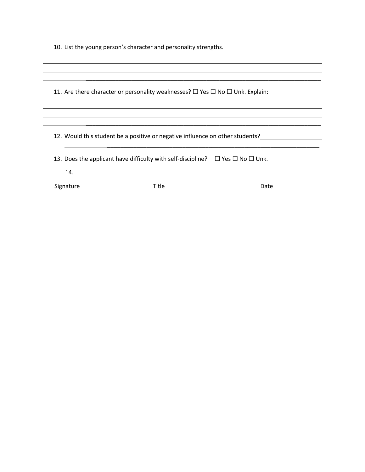10. List the young person's character and personality strengths.

11. Are there character or personality weaknesses?  $\Box$  Yes  $\Box$  No  $\Box$  Unk. Explain:

\_\_\_\_\_\_\_\_\_\_\_\_\_\_\_\_\_\_\_\_\_\_\_\_\_\_\_\_\_\_\_\_\_\_\_\_\_\_\_\_\_\_\_\_\_\_\_\_\_\_\_\_\_\_\_\_\_\_\_\_\_\_\_\_\_\_\_\_\_\_\_\_

12. Would this student be a positive or negative influence on other students?\_\_\_\_\_\_\_\_\_\_\_\_\_\_\_\_\_\_\_\_\_\_\_

13. Does the applicant have difficulty with self-discipline?  $□$  Yes  $□$  No  $□$  Unk.

14.

Signature Date Date Title Contract Date Date

 $\frac{1}{2}$  ,  $\frac{1}{2}$  ,  $\frac{1}{2}$  ,  $\frac{1}{2}$  ,  $\frac{1}{2}$  ,  $\frac{1}{2}$  ,  $\frac{1}{2}$  ,  $\frac{1}{2}$  ,  $\frac{1}{2}$  ,  $\frac{1}{2}$  ,  $\frac{1}{2}$  ,  $\frac{1}{2}$  ,  $\frac{1}{2}$  ,  $\frac{1}{2}$  ,  $\frac{1}{2}$  ,  $\frac{1}{2}$  ,  $\frac{1}{2}$  ,  $\frac{1}{2}$  ,  $\frac{1$